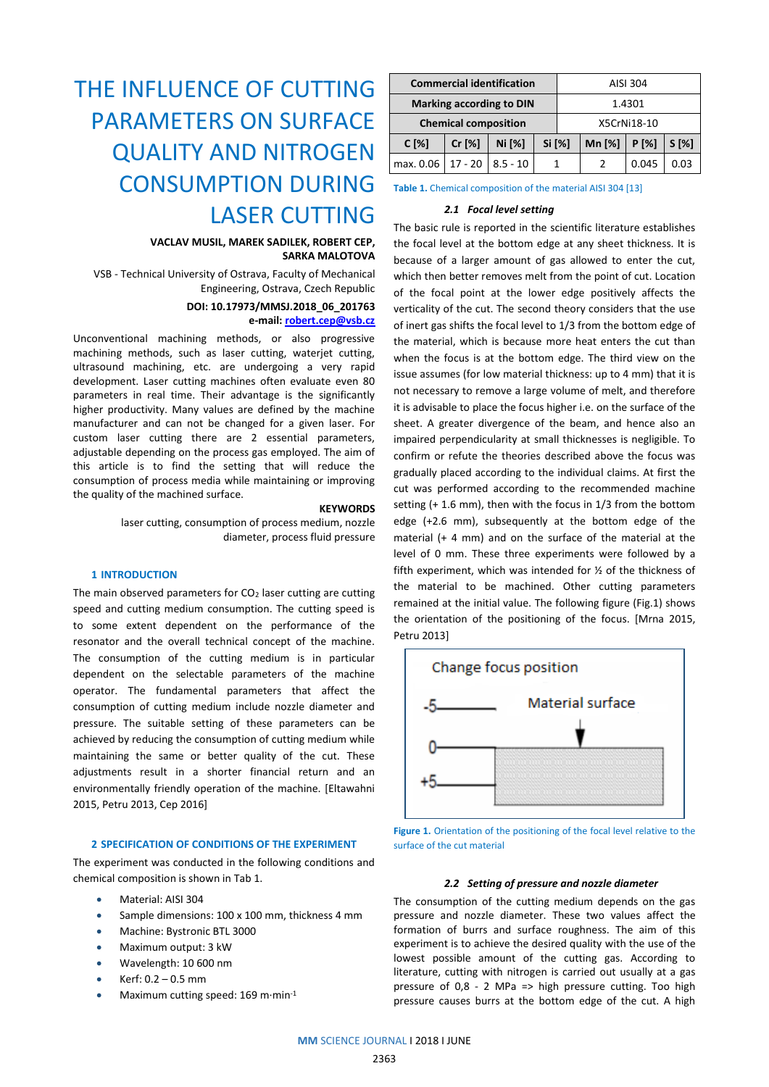# THE INFLUENCE OF CUTTING PARAMETERS ON SURFACE QUALITY AND NITROGEN CONSUMPTION DURING LASER CUTTING

## **VACLAV MUSIL, MAREK SADILEK, ROBERT CEP, SARKA MALOTOVA**

VSB - Technical University of Ostrava, Faculty of Mechanical Engineering, Ostrava, Czech Republic

## **DOI: 10.17973/MMSJ.2018\_06\_201763**

## **e-mail: [robert.cep@vsb.cz](mailto:robert.cep@vsb.cz)**

Unconventional machining methods, or also progressive machining methods, such as laser cutting, waterjet cutting, ultrasound machining, etc. are undergoing a very rapid development. Laser cutting machines often evaluate even 80 parameters in real time. Their advantage is the significantly higher productivity. Many values are defined by the machine manufacturer and can not be changed for a given laser. For custom laser cutting there are 2 essential parameters, adjustable depending on the process gas employed. The aim of this article is to find the setting that will reduce the consumption of process media while maintaining or improving the quality of the machined surface.

## **KEYWORDS**

laser cutting, consumption of process medium, nozzle diameter, process fluid pressure

## **1 INTRODUCTION**

The main observed parameters for  $CO<sub>2</sub>$  laser cutting are cutting speed and cutting medium consumption. The cutting speed is to some extent dependent on the performance of the resonator and the overall technical concept of the machine. The consumption of the cutting medium is in particular dependent on the selectable parameters of the machine operator. The fundamental parameters that affect the consumption of cutting medium include nozzle diameter and pressure. The suitable setting of these parameters can be achieved by reducing the consumption of cutting medium while maintaining the same or better quality of the cut. These adjustments result in a shorter financial return and an environmentally friendly operation of the machine. [Eltawahni 2015, Petru 2013, Cep 2016]

## **2 SPECIFICATION OF CONDITIONS OF THE EXPERIMENT**

The experiment was conducted in the following conditions and chemical composition is shown in Tab 1.

- Material: AISI 304
- Sample dimensions: 100 x 100 mm, thickness 4 mm
- Machine: Bystronic BTL 3000
- Maximum output: 3 kW
- Wavelength: 10 600 nm
- Kerf: 0.2 0.5 mm
- Maximum cutting speed: 169 m∙min-1

| <b>Commercial identification</b> |           |            |        | AISI 304    |          |       |         |
|----------------------------------|-----------|------------|--------|-------------|----------|-------|---------|
| <b>Marking according to DIN</b>  |           |            |        | 1.4301      |          |       |         |
| <b>Chemical composition</b>      |           |            |        | X5CrNi18-10 |          |       |         |
| $C[\%]$                          | Cr [%]    | Ni [%]     | Si [%] |             | Mn $[%]$ | P[%]  | $S[\%]$ |
| max. 0.06                        | $17 - 20$ | $8.5 - 10$ |        |             |          | 0.045 | 0.03    |

**Table 1.** Chemical composition of the material AISI 304 [13]

#### *2.1 Focal level setting*

The basic rule is reported in the scientific literature establishes the focal level at the bottom edge at any sheet thickness. It is because of a larger amount of gas allowed to enter the cut, which then better removes melt from the point of cut. Location of the focal point at the lower edge positively affects the verticality of the cut. The second theory considers that the use of inert gas shifts the focal level to 1/3 from the bottom edge of the material, which is because more heat enters the cut than when the focus is at the bottom edge. The third view on the issue assumes (for low material thickness: up to 4 mm) that it is not necessary to remove a large volume of melt, and therefore it is advisable to place the focus higher i.e. on the surface of the sheet. A greater divergence of the beam, and hence also an impaired perpendicularity at small thicknesses is negligible. To confirm or refute the theories described above the focus was gradually placed according to the individual claims. At first the cut was performed according to the recommended machine setting (+ 1.6 mm), then with the focus in 1/3 from the bottom edge (+2.6 mm), subsequently at the bottom edge of the material (+ 4 mm) and on the surface of the material at the level of 0 mm. These three experiments were followed by a fifth experiment, which was intended for ½ of the thickness of the material to be machined. Other cutting parameters remained at the initial value. The following figure (Fig.1) shows the orientation of the positioning of the focus. [Mrna 2015, Petru 2013]



**Figure 1.** Orientation of the positioning of the focal level relative to the surface of the cut material

#### *2.2 Setting of pressure and nozzle diameter*

The consumption of the cutting medium depends on the gas pressure and nozzle diameter. These two values affect the formation of burrs and surface roughness. The aim of this experiment is to achieve the desired quality with the use of the lowest possible amount of the cutting gas. According to literature, cutting with nitrogen is carried out usually at a gas pressure of 0,8 - 2 MPa => high pressure cutting. Too high pressure causes burrs at the bottom edge of the cut. A high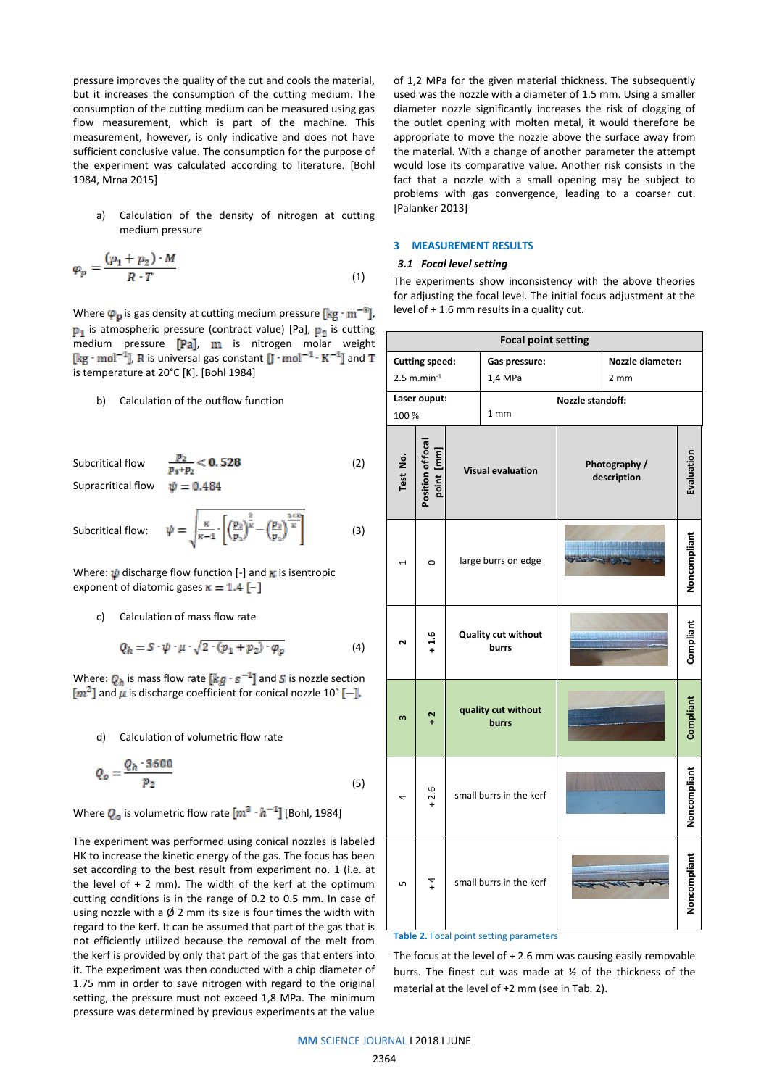pressure improves the quality of the cut and cools the material, but it increases the consumption of the cutting medium. The consumption of the cutting medium can be measured using gas flow measurement, which is part of the machine. This measurement, however, is only indicative and does not have sufficient conclusive value. The consumption for the purpose of the experiment was calculated according to literature. [Bohl 1984, Mrna 2015]

a) Calculation of the density of nitrogen at cutting medium pressure

$$
\varphi_p = \frac{(p_1 + p_2) \cdot M}{R \cdot T} \tag{1}
$$

Where  $\varphi_p$  is gas density at cutting medium pressure  $\left[\text{kg}\cdot\text{m}^{-3}\right]$ ,  $\mathbf{p}_1$  is atmospheric pressure (contract value) [Pa],  $\mathbf{p}_2$  is cutting medium pressure  $[Pa]$ , m is nitrogen molar weight  $[\text{kg}\cdot\text{mol}^{-1}]$ , R is universal gas constant  $[\text{J}\cdot\text{mol}^{-1}\cdot\text{K}^{-1}]$  and T is temperature at 20°C [K]. [Bohl 1984]

## b) Calculation of the outflow function

Subcritical flow  $\frac{p_2}{p_1+p_2} < 0.528$  (2) Supracritical flow  $\psi = 0.484$ 

Subcritical flow:

$$
\psi = \sqrt{\frac{\kappa}{\kappa - 1} \cdot \left[ \left( \frac{p_2}{p_1} \right)^{\frac{2}{\kappa}} - \left( \frac{p_2}{p_1} \right)^{\frac{1 + \kappa}{\kappa}} \right]}
$$
(3)

Where:  $\psi$  discharge flow function [-] and  $\kappa$  is isentropic exponent of diatomic gases  $\kappa = 1.4$  [-]

c) Calculation of mass flow rate

$$
Q_h = S \cdot \psi \cdot \mu \cdot \sqrt{2 \cdot (p_1 + p_2) \cdot \varphi_p} \tag{4}
$$

Where:  $Q_h$  is mass flow rate  $\left[kg \cdot s^{-1}\right]$  and S is nozzle section  $\lceil m^2 \rceil$  and  $\mu$  is discharge coefficient for conical nozzle 10°  $\lceil - \rceil$ .

#### d) Calculation of volumetric flow rate

$$
Q_o = \frac{Q_h \cdot 3600}{p_2} \tag{5}
$$

Where  $Q_o$  is volumetric flow rate  $[m^3 \cdot h^{-1}]$  [Bohl, 1984]

The experiment was performed using conical nozzles is labeled HK to increase the kinetic energy of the gas. The focus has been set according to the best result from experiment no. 1 (i.e. at the level of  $+ 2$  mm). The width of the kerf at the optimum cutting conditions is in the range of 0.2 to 0.5 mm. In case of using nozzle with a  $\emptyset$  2 mm its size is four times the width with regard to the kerf. It can be assumed that part of the gas that is not efficiently utilized because the removal of the melt from the kerf is provided by only that part of the gas that enters into it. The experiment was then conducted with a chip diameter of 1.75 mm in order to save nitrogen with regard to the original setting, the pressure must not exceed 1,8 MPa. The minimum pressure was determined by previous experiments at the value

of 1,2 MPa for the given material thickness. The subsequently used was the nozzle with a diameter of 1.5 mm. Using a smaller diameter nozzle significantly increases the risk of clogging of the outlet opening with molten metal, it would therefore be appropriate to move the nozzle above the surface away from the material. With a change of another parameter the attempt would lose its comparative value. Another risk consists in the fact that a nozzle with a small opening may be subject to problems with gas convergence, leading to a coarser cut. [Palanker 2013]

## **3 MEASUREMENT RESULTS**

## *3.1 Focal level setting*

The experiments show inconsistency with the above theories for adjusting the focal level. The initial focus adjustment at the level of + 1.6 mm results in a quality cut.

| <b>Focal point setting</b> |                                 |  |                              |                   |                              |              |  |
|----------------------------|---------------------------------|--|------------------------------|-------------------|------------------------------|--------------|--|
| <b>Cutting speed:</b>      |                                 |  | Gas pressure:                |                   | <b>Nozzle diameter:</b>      |              |  |
| $2.5$ m.min $^{-1}$        |                                 |  | 1,4 MPa<br>2 mm              |                   |                              |              |  |
| Laser ouput:               |                                 |  | Nozzle standoff:             |                   |                              |              |  |
| 100 %                      |                                 |  | 1 mm                         |                   |                              |              |  |
| Test No.                   | Position of focal<br>point [mm] |  | <b>Visual evaluation</b>     |                   | Photography /<br>description | Evaluation   |  |
| ٠                          | $\circ$                         |  | large burrs on edge          | e museum employer |                              |              |  |
| $\mathbf{N}$               | $+1.6$                          |  | Quality cut without<br>burrs |                   |                              | Compliant    |  |
| $\mathsf{m}$               | $\frac{2}{1}$                   |  | quality cut without<br>burrs |                   |                              | Compliant    |  |
| 4                          | $+2.6$                          |  | small burrs in the kerf      |                   |                              | Noncompliant |  |
| ъ                          | $\frac{4}{4}$                   |  | small burrs in the kerf      |                   |                              | Noncompliant |  |

#### **Table 2.** Focal point setting parameters

The focus at the level of + 2.6 mm was causing easily removable burrs. The finest cut was made at ½ of the thickness of the material at the level of +2 mm (see in Tab. 2).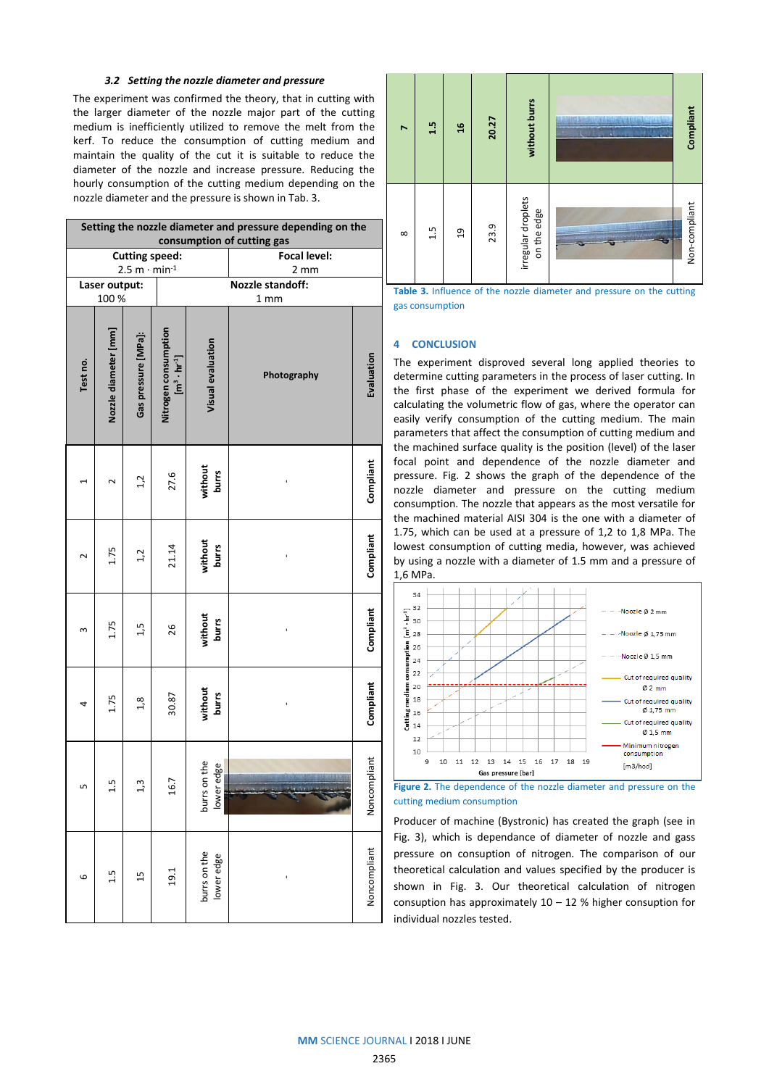## *3.2 Setting the nozzle diameter and pressure*

The experiment was confirmed the theory, that in cutting with the larger diameter of the nozzle major part of the cutting medium is inefficiently utilized to remove the melt from the kerf. To reduce the consumption of cutting medium and maintain the quality of the cut it is suitable to reduce the diameter of the nozzle and increase pressure. Reducing the hourly consumption of the cutting medium depending on the nozzle diameter and the pressure is shown in Tab. 3.

| Setting the nozzle diameter and pressure depending on the<br>consumption of cutting gas |                      |                     |                                                       |                                             |              |              |  |  |
|-----------------------------------------------------------------------------------------|----------------------|---------------------|-------------------------------------------------------|---------------------------------------------|--------------|--------------|--|--|
| <b>Cutting speed:</b>                                                                   |                      |                     |                                                       |                                             | Focal level: |              |  |  |
| $2.5 m \cdot min^{-1}$<br>Laser output:                                                 |                      |                     |                                                       | $2 \, \text{mm}$<br><b>Nozzle standoff:</b> |              |              |  |  |
| 100 %                                                                                   |                      |                     |                                                       | 1 <sub>mm</sub>                             |              |              |  |  |
| Test no.                                                                                | Nozzle diameter [mm] | Gas pressure [MPa]: | Nitrogen consumption<br>$\left[m^3 \cdot hr^4\right]$ | Visual evaluation                           | Photography  | Evaluation   |  |  |
|                                                                                         | $\sim$               | 1,2                 | 27.6                                                  | without<br>burrs                            |              | Compliant    |  |  |
| $\sim$                                                                                  | 1.75                 | 1,2                 | 21.14                                                 | without<br>burrs                            |              | Compliant    |  |  |
| m                                                                                       | 1.75                 | 1,5                 | 26                                                    | without<br><b>burrs</b>                     |              | Compliant    |  |  |
| 4                                                                                       | 1.75                 | 1,8                 | 30.87                                                 | without<br><b>burrs</b>                     | ı            | Compliant    |  |  |
| LN                                                                                      | $\frac{5}{11}$       | 1,3                 | 16.7                                                  | burrs on the<br>lower edge                  |              | Noncompliant |  |  |
| 6                                                                                       | 1.5                  | 15                  | 19.1                                                  | burrs on the<br>lower edge                  |              | Noncompliant |  |  |



**Table 3.** Influence of the nozzle diameter and pressure on the cutting gas consumption

#### **4 CONCLUSION**

The experiment disproved several long applied theories to determine cutting parameters in the process of laser cutting. In the first phase of the experiment we derived formula for calculating the volumetric flow of gas, where the operator can easily verify consumption of the cutting medium. The main parameters that affect the consumption of cutting medium and the machined surface quality is the position (level) of the laser focal point and dependence of the nozzle diameter and pressure. Fig. 2 shows the graph of the dependence of the nozzle diameter and pressure on the cutting medium consumption. The nozzle that appears as the most versatile for the machined material AISI 304 is the one with a diameter of 1.75, which can be used at a pressure of 1,2 to 1,8 MPa. The lowest consumption of cutting media, however, was achieved by using a nozzle with a diameter of 1.5 mm and a pressure of 1,6 MPa.





Producer of machine (Bystronic) has created the graph (see in Fig. 3), which is dependance of diameter of nozzle and gass pressure on consuption of nitrogen. The comparison of our theoretical calculation and values specified by the producer is shown in Fig. 3. Our theoretical calculation of nitrogen consuption has approximately  $10 - 12$  % higher consuption for individual nozzles tested.